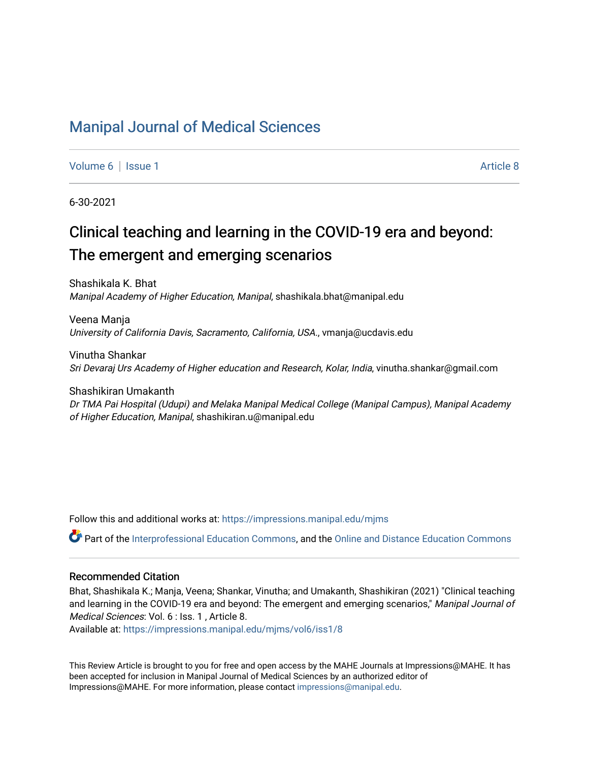## [Manipal Journal of Medical Sciences](https://impressions.manipal.edu/mjms)

[Volume 6](https://impressions.manipal.edu/mjms/vol6) | [Issue 1](https://impressions.manipal.edu/mjms/vol6/iss1) Article 8

6-30-2021

# Clinical teaching and learning in the COVID-19 era and beyond: The emergent and emerging scenarios

Shashikala K. Bhat Manipal Academy of Higher Education, Manipal, shashikala.bhat@manipal.edu

Veena Manja University of California Davis, Sacramento, California, USA., vmanja@ucdavis.edu

Vinutha Shankar Sri Devaraj Urs Academy of Higher education and Research, Kolar, India, vinutha.shankar@gmail.com

Shashikiran Umakanth Dr TMA Pai Hospital (Udupi) and Melaka Manipal Medical College (Manipal Campus), Manipal Academy of Higher Education, Manipal, shashikiran.u@manipal.edu

Follow this and additional works at: [https://impressions.manipal.edu/mjms](https://impressions.manipal.edu/mjms?utm_source=impressions.manipal.edu%2Fmjms%2Fvol6%2Fiss1%2F8&utm_medium=PDF&utm_campaign=PDFCoverPages)

Part of the [Interprofessional Education Commons,](http://network.bepress.com/hgg/discipline/1372?utm_source=impressions.manipal.edu%2Fmjms%2Fvol6%2Fiss1%2F8&utm_medium=PDF&utm_campaign=PDFCoverPages) and the Online and Distance Education Commons

## Recommended Citation

Bhat, Shashikala K.; Manja, Veena; Shankar, Vinutha; and Umakanth, Shashikiran (2021) "Clinical teaching and learning in the COVID-19 era and beyond: The emergent and emerging scenarios," Manipal Journal of Medical Sciences: Vol. 6 : Iss. 1 , Article 8.

Available at: [https://impressions.manipal.edu/mjms/vol6/iss1/8](https://impressions.manipal.edu/mjms/vol6/iss1/8?utm_source=impressions.manipal.edu%2Fmjms%2Fvol6%2Fiss1%2F8&utm_medium=PDF&utm_campaign=PDFCoverPages)

This Review Article is brought to you for free and open access by the MAHE Journals at Impressions@MAHE. It has been accepted for inclusion in Manipal Journal of Medical Sciences by an authorized editor of Impressions@MAHE. For more information, please contact [impressions@manipal.edu](mailto:impressions@manipal.edu).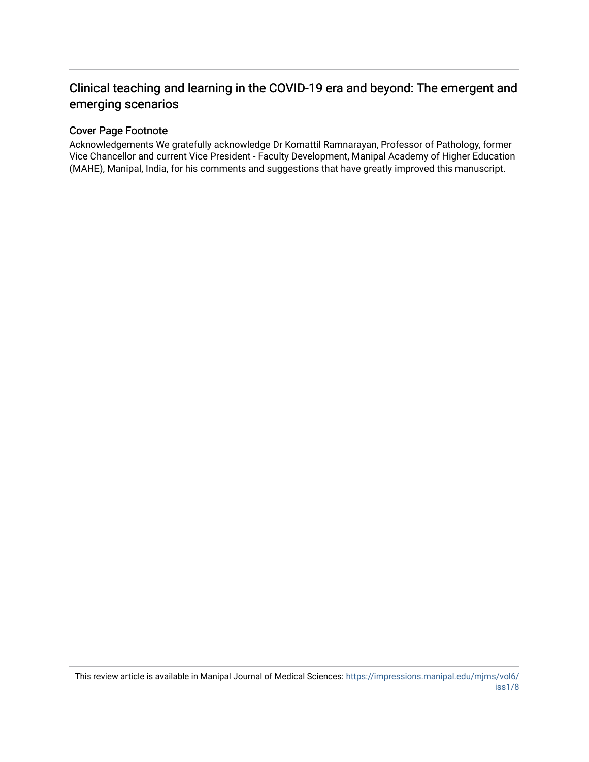## Clinical teaching and learning in the COVID-19 era and beyond: The emergent and emerging scenarios

## Cover Page Footnote

Acknowledgements We gratefully acknowledge Dr Komattil Ramnarayan, Professor of Pathology, former Vice Chancellor and current Vice President - Faculty Development, Manipal Academy of Higher Education (MAHE), Manipal, India, for his comments and suggestions that have greatly improved this manuscript.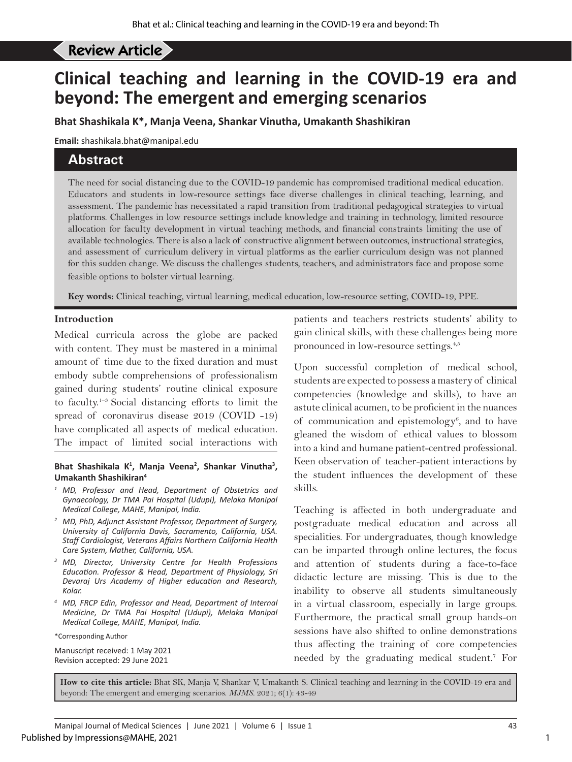# Review Article **and learning and learning in the COVID-19 era and beyond the COVID-19 era and beyond beyond the COV**

# **Clinical teaching and learning in the COVID-19 era and beyond: The emergent and emerging scenarios**

**Bhat Shashikala K\*, Manja Veena, Shankar Vinutha, Umakanth Shashikiran**

**Email:** shashikala.bhat@manipal.edu

## **Abstract**

The need for social distancing due to the COVID-19 pandemic has compromised traditional medical education. Educators and students in low-resource settings face diverse challenges in clinical teaching, learning, and assessment. The pandemic has necessitated a rapid transition from traditional pedagogical strategies to virtual platforms. Challenges in low resource settings include knowledge and training in technology, limited resource allocation for faculty development in virtual teaching methods, and financial constraints limiting the use of available technologies. There is also a lack of constructive alignment between outcomes, instructional strategies, and assessment of curriculum delivery in virtual platforms as the earlier curriculum design was not planned for this sudden change. We discuss the challenges students, teachers, and administrators face and propose some feasible options to bolster virtual learning.

**Key words:** Clinical teaching, virtual learning, medical education, low-resource setting, COVID-19, PPE.

## **Introduction**

Medical curricula across the globe are packed with content. They must be mastered in a minimal amount of time due to the fixed duration and must embody subtle comprehensions of professionalism gained during students' routine clinical exposure to faculty.1–3 Social distancing efforts to limit the spread of coronavirus disease 2019 (COVID -19) have complicated all aspects of medical education. The impact of limited social interactions with

#### Bhat Shashikala K<sup>1</sup>, Manja Veena<sup>2</sup>, Shankar Vinutha<sup>3</sup>, **Umakanth Shashikiran4**

- *<sup>1</sup> MD, Professor and Head, Department of Obstetrics and Gynaecology, Dr TMA Pai Hospital (Udupi), Melaka Manipal Medical College, MAHE, Manipal, India.*
- *<sup>2</sup> MD, PhD, Adjunct Assistant Professor, Department of Surgery, University of California Davis, Sacramento, California, USA. Staff Cardiologist, Veterans Affairs Northern California Health Care System, Mather, California, USA.*
- *<sup>3</sup> MD, Director, University Centre for Health Professions Education. Professor & Head, Department of Physiology, Sri Devaraj Urs Academy of Higher education and Research, Kolar.*
- *<sup>4</sup> MD, FRCP Edin, Professor and Head, Department of Internal Medicine, Dr TMA Pai Hospital (Udupi), Melaka Manipal Medical College, MAHE, Manipal, India.*
- \*Corresponding Author

Manuscript received: 1 May 2021 Revision accepted: 29 June 2021

patients and teachers restricts students' ability to gain clinical skills, with these challenges being more pronounced in low-resource settings.4,5

Upon successful completion of medical school, students are expected to possess a mastery of clinical competencies (knowledge and skills), to have an astute clinical acumen, to be proficient in the nuances of communication and epistemology<sup>6</sup>, and to have gleaned the wisdom of ethical values to blossom into a kind and humane patient-centred professional. Keen observation of teacher-patient interactions by the student influences the development of these skills.

Teaching is affected in both undergraduate and postgraduate medical education and across all specialities. For undergraduates, though knowledge can be imparted through online lectures, the focus and attention of students during a face-to-face didactic lecture are missing. This is due to the inability to observe all students simultaneously in a virtual classroom, especially in large groups. Furthermore, the practical small group hands-on sessions have also shifted to online demonstrations thus affecting the training of core competencies needed by the graduating medical student.7 For

**How to cite this article:** Bhat SK, Manja V, Shankar V, Umakanth S. Clinical teaching and learning in the COVID-19 era and beyond: The emergent and emerging scenarios. *MJMS.* 2021; 6(1): 43-49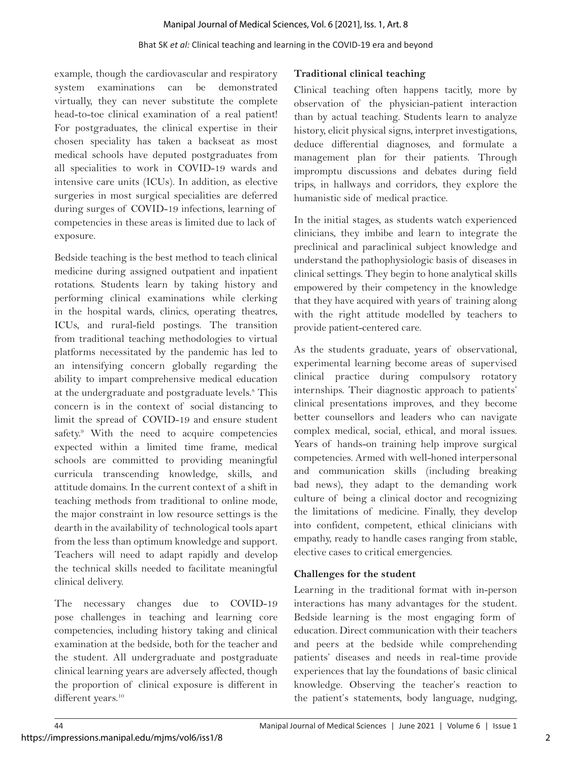### Manipal Journal of Medical Sciences, Vol. 6 [2021], Iss. 1, Art. 8

#### Bhat SK *et al:* Clinical teaching and learning in the COVID-19 era and beyond

example, though the cardiovascular and respiratory system examinations can be demonstrated virtually, they can never substitute the complete head-to-toe clinical examination of a real patient! For postgraduates, the clinical expertise in their chosen speciality has taken a backseat as most medical schools have deputed postgraduates from all specialities to work in COVID-19 wards and intensive care units (ICUs). In addition, as elective surgeries in most surgical specialities are deferred during surges of COVID-19 infections, learning of competencies in these areas is limited due to lack of exposure.

Bedside teaching is the best method to teach clinical medicine during assigned outpatient and inpatient rotations. Students learn by taking history and performing clinical examinations while clerking in the hospital wards, clinics, operating theatres, ICUs, and rural-field postings. The transition from traditional teaching methodologies to virtual platforms necessitated by the pandemic has led to an intensifying concern globally regarding the ability to impart comprehensive medical education at the undergraduate and postgraduate levels.<sup>8</sup> This concern is in the context of social distancing to limit the spread of COVID-19 and ensure student safety.<sup>9</sup> With the need to acquire competencies expected within a limited time frame, medical schools are committed to providing meaningful curricula transcending knowledge, skills, and attitude domains. In the current context of a shift in teaching methods from traditional to online mode, the major constraint in low resource settings is the dearth in the availability of technological tools apart from the less than optimum knowledge and support. Teachers will need to adapt rapidly and develop the technical skills needed to facilitate meaningful clinical delivery.

The necessary changes due to COVID-19 pose challenges in teaching and learning core competencies, including history taking and clinical examination at the bedside, both for the teacher and the student. All undergraduate and postgraduate clinical learning years are adversely affected, though the proportion of clinical exposure is different in different years.<sup>10</sup>

## **Traditional clinical teaching**

Clinical teaching often happens tacitly, more by observation of the physician-patient interaction than by actual teaching. Students learn to analyze history, elicit physical signs, interpret investigations, deduce differential diagnoses, and formulate a management plan for their patients. Through impromptu discussions and debates during field trips, in hallways and corridors, they explore the humanistic side of medical practice.

In the initial stages, as students watch experienced clinicians, they imbibe and learn to integrate the preclinical and paraclinical subject knowledge and understand the pathophysiologic basis of diseases in clinical settings. They begin to hone analytical skills empowered by their competency in the knowledge that they have acquired with years of training along with the right attitude modelled by teachers to provide patient-centered care.

As the students graduate, years of observational, experimental learning become areas of supervised clinical practice during compulsory rotatory internships. Their diagnostic approach to patients' clinical presentations improves, and they become better counsellors and leaders who can navigate complex medical, social, ethical, and moral issues. Years of hands-on training help improve surgical competencies. Armed with well-honed interpersonal and communication skills (including breaking bad news), they adapt to the demanding work culture of being a clinical doctor and recognizing the limitations of medicine. Finally, they develop into confident, competent, ethical clinicians with empathy, ready to handle cases ranging from stable, elective cases to critical emergencies.

## **Challenges for the student**

Learning in the traditional format with in-person interactions has many advantages for the student. Bedside learning is the most engaging form of education. Direct communication with their teachers and peers at the bedside while comprehending patients' diseases and needs in real-time provide experiences that lay the foundations of basic clinical knowledge. Observing the teacher's reaction to the patient's statements, body language, nudging,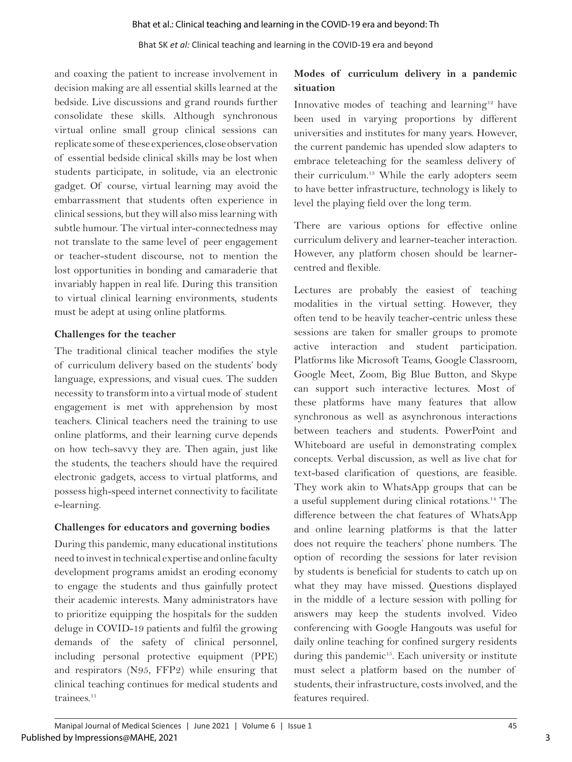## Bhat SK *et al:* Clinical teaching and learning in the COVID-19 era and beyond

and coaxing the patient to increase involvement in decision making are all essential skills learned at the bedside. Live discussions and grand rounds further consolidate these skills. Although synchronous virtual online small group clinical sessions can replicate some of these experiences, close observation of essential bedside clinical skills may be lost when students participate, in solitude, via an electronic gadget. Of course, virtual learning may avoid the embarrassment that students often experience in clinical sessions, but they will also miss learning with subtle humour. The virtual inter-connectedness may not translate to the same level of peer engagement or teacher-student discourse, not to mention the lost opportunities in bonding and camaraderie that invariably happen in real life. During this transition to virtual clinical learning environments, students must be adept at using online platforms.

## **Challenges for the teacher**

The traditional clinical teacher modifies the style of curriculum delivery based on the students' body language, expressions, and visual cues. The sudden necessity to transform into a virtual mode of student engagement is met with apprehension by most teachers. Clinical teachers need the training to use online platforms, and their learning curve depends on how tech-savvy they are. Then again, just like the students, the teachers should have the required electronic gadgets, access to virtual platforms, and possess high-speed internet connectivity to facilitate e-learning.

## **Challenges for educators and governing bodies**

During this pandemic, many educational institutions need to invest in technical expertise and online faculty development programs amidst an eroding economy to engage the students and thus gainfully protect their academic interests. Many administrators have to prioritize equipping the hospitals for the sudden deluge in COVID-19 patients and fulfil the growing demands of the safety of clinical personnel, including personal protective equipment (PPE) and respirators (N95, FFP2) while ensuring that clinical teaching continues for medical students and trainees. $11$ 

## **Modes of curriculum delivery in a pandemic situation**

Innovative modes of teaching and learning<sup>12</sup> have been used in varying proportions by different universities and institutes for many years. However, the current pandemic has upended slow adapters to embrace teleteaching for the seamless delivery of their curriculum.13 While the early adopters seem to have better infrastructure, technology is likely to level the playing field over the long term.

There are various options for effective online curriculum delivery and learner-teacher interaction. However, any platform chosen should be learnercentred and flexible.

Lectures are probably the easiest of teaching modalities in the virtual setting. However, they often tend to be heavily teacher-centric unless these sessions are taken for smaller groups to promote active interaction and student participation. Platforms like Microsoft Teams, Google Classroom, Google Meet, Zoom, Big Blue Button, and Skype can support such interactive lectures. Most of these platforms have many features that allow synchronous as well as asynchronous interactions between teachers and students. PowerPoint and Whiteboard are useful in demonstrating complex concepts. Verbal discussion, as well as live chat for text-based clarification of questions, are feasible. They work akin to WhatsApp groups that can be a useful supplement during clinical rotations.14 The difference between the chat features of WhatsApp and online learning platforms is that the latter does not require the teachers' phone numbers. The option of recording the sessions for later revision by students is beneficial for students to catch up on what they may have missed. Questions displayed in the middle of a lecture session with polling for answers may keep the students involved. Video conferencing with Google Hangouts was useful for daily online teaching for confined surgery residents during this pandemic<sup>15</sup>. Each university or institute must select a platform based on the number of students, their infrastructure, costs involved, and the features required.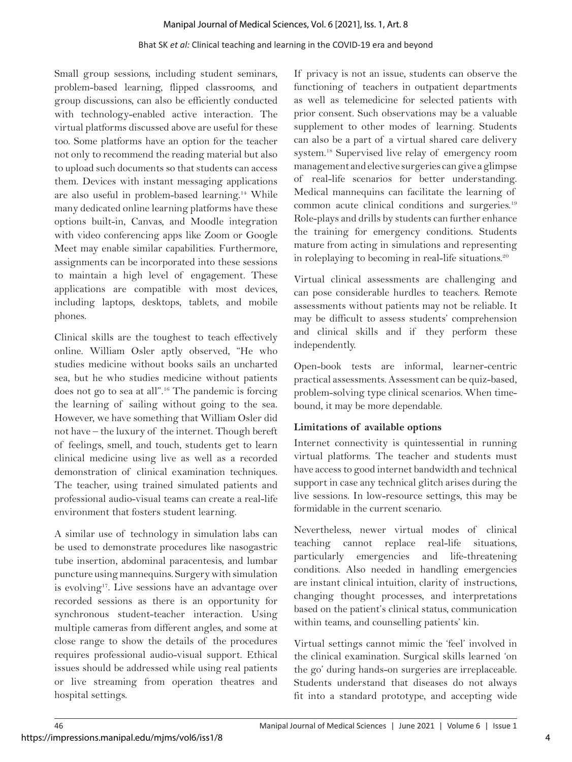### Manipal Journal of Medical Sciences, Vol. 6 [2021], Iss. 1, Art. 8

### Bhat SK *et al:* Clinical teaching and learning in the COVID-19 era and beyond

Small group sessions, including student seminars, problem-based learning, flipped classrooms, and group discussions, can also be efficiently conducted with technology-enabled active interaction. The virtual platforms discussed above are useful for these too. Some platforms have an option for the teacher not only to recommend the reading material but also to upload such documents so that students can access them. Devices with instant messaging applications are also useful in problem-based learning.14 While many dedicated online learning platforms have these options built-in, Canvas, and Moodle integration with video conferencing apps like Zoom or Google Meet may enable similar capabilities. Furthermore, assignments can be incorporated into these sessions to maintain a high level of engagement. These applications are compatible with most devices, including laptops, desktops, tablets, and mobile phones.

Clinical skills are the toughest to teach effectively online. William Osler aptly observed, "He who studies medicine without books sails an uncharted sea, but he who studies medicine without patients does not go to sea at all".16 The pandemic is forcing the learning of sailing without going to the sea. However, we have something that William Osler did not have – the luxury of the internet. Though bereft of feelings, smell, and touch, students get to learn clinical medicine using live as well as a recorded demonstration of clinical examination techniques. The teacher, using trained simulated patients and professional audio-visual teams can create a real-life environment that fosters student learning.

A similar use of technology in simulation labs can be used to demonstrate procedures like nasogastric tube insertion, abdominal paracentesis, and lumbar puncture using mannequins. Surgery with simulation is evolving<sup>17</sup>. Live sessions have an advantage over recorded sessions as there is an opportunity for synchronous student-teacher interaction. Using multiple cameras from different angles, and some at close range to show the details of the procedures requires professional audio-visual support. Ethical issues should be addressed while using real patients or live streaming from operation theatres and hospital settings.

If privacy is not an issue, students can observe the functioning of teachers in outpatient departments as well as telemedicine for selected patients with prior consent. Such observations may be a valuable supplement to other modes of learning. Students can also be a part of a virtual shared care delivery system.18 Supervised live relay of emergency room management and elective surgeries can give a glimpse of real-life scenarios for better understanding. Medical mannequins can facilitate the learning of common acute clinical conditions and surgeries.<sup>19</sup> Role-plays and drills by students can further enhance the training for emergency conditions. Students mature from acting in simulations and representing in roleplaying to becoming in real-life situations.<sup>20</sup>

Virtual clinical assessments are challenging and can pose considerable hurdles to teachers. Remote assessments without patients may not be reliable. It may be difficult to assess students' comprehension and clinical skills and if they perform these independently.

Open-book tests are informal, learner-centric practical assessments. Assessment can be quiz-based, problem-solving type clinical scenarios. When timebound, it may be more dependable.

## **Limitations of available options**

Internet connectivity is quintessential in running virtual platforms. The teacher and students must have access to good internet bandwidth and technical support in case any technical glitch arises during the live sessions. In low-resource settings, this may be formidable in the current scenario.

Nevertheless, newer virtual modes of clinical teaching cannot replace real-life situations, particularly emergencies and life-threatening conditions. Also needed in handling emergencies are instant clinical intuition, clarity of instructions, changing thought processes, and interpretations based on the patient's clinical status, communication within teams, and counselling patients' kin.

Virtual settings cannot mimic the 'feel' involved in the clinical examination. Surgical skills learned 'on the go' during hands-on surgeries are irreplaceable. Students understand that diseases do not always fit into a standard prototype, and accepting wide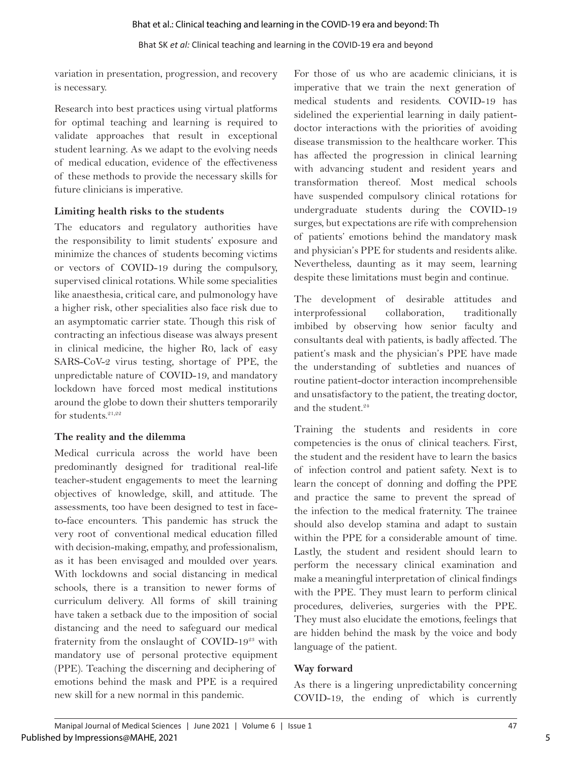variation in presentation, progression, and recovery is necessary.

Research into best practices using virtual platforms for optimal teaching and learning is required to validate approaches that result in exceptional student learning. As we adapt to the evolving needs of medical education, evidence of the effectiveness of these methods to provide the necessary skills for future clinicians is imperative.

## **Limiting health risks to the students**

The educators and regulatory authorities have the responsibility to limit students' exposure and minimize the chances of students becoming victims or vectors of COVID-19 during the compulsory, supervised clinical rotations. While some specialities like anaesthesia, critical care, and pulmonology have a higher risk, other specialities also face risk due to an asymptomatic carrier state. Though this risk of contracting an infectious disease was always present in clinical medicine, the higher R0, lack of easy SARS-CoV-2 virus testing, shortage of PPE, the unpredictable nature of COVID-19, and mandatory lockdown have forced most medical institutions around the globe to down their shutters temporarily for students. $21,22$ 

## **The reality and the dilemma**

Medical curricula across the world have been predominantly designed for traditional real-life teacher-student engagements to meet the learning objectives of knowledge, skill, and attitude. The assessments, too have been designed to test in faceto-face encounters. This pandemic has struck the very root of conventional medical education filled with decision-making, empathy, and professionalism, as it has been envisaged and moulded over years. With lockdowns and social distancing in medical schools, there is a transition to newer forms of curriculum delivery. All forms of skill training have taken a setback due to the imposition of social distancing and the need to safeguard our medical fraternity from the onslaught of COVID-19<sup>23</sup> with mandatory use of personal protective equipment (PPE). Teaching the discerning and deciphering of emotions behind the mask and PPE is a required new skill for a new normal in this pandemic.

For those of us who are academic clinicians, it is imperative that we train the next generation of medical students and residents. COVID-19 has sidelined the experiential learning in daily patientdoctor interactions with the priorities of avoiding disease transmission to the healthcare worker. This has affected the progression in clinical learning with advancing student and resident years and transformation thereof. Most medical schools have suspended compulsory clinical rotations for undergraduate students during the COVID-19 surges, but expectations are rife with comprehension of patients' emotions behind the mandatory mask and physician's PPE for students and residents alike. Nevertheless, daunting as it may seem, learning despite these limitations must begin and continue.

The development of desirable attitudes and interprofessional collaboration, traditionally imbibed by observing how senior faculty and consultants deal with patients, is badly affected. The patient's mask and the physician's PPE have made the understanding of subtleties and nuances of routine patient-doctor interaction incomprehensible and unsatisfactory to the patient, the treating doctor, and the student. $24$ 

Training the students and residents in core competencies is the onus of clinical teachers. First, the student and the resident have to learn the basics of infection control and patient safety. Next is to learn the concept of donning and doffing the PPE and practice the same to prevent the spread of the infection to the medical fraternity. The trainee should also develop stamina and adapt to sustain within the PPE for a considerable amount of time. Lastly, the student and resident should learn to perform the necessary clinical examination and make a meaningful interpretation of clinical findings with the PPE. They must learn to perform clinical procedures, deliveries, surgeries with the PPE. They must also elucidate the emotions, feelings that are hidden behind the mask by the voice and body language of the patient.

## **Way forward**

As there is a lingering unpredictability concerning COVID-19, the ending of which is currently

5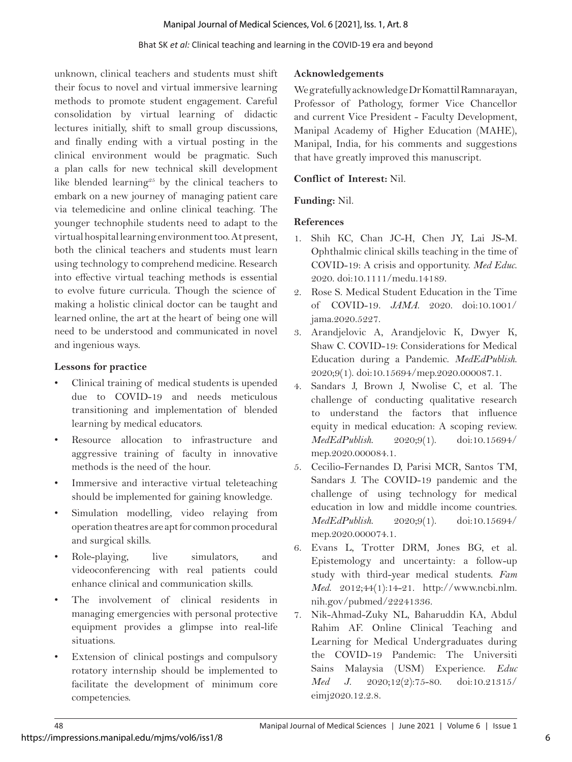## Bhat SK *et al:* Clinical teaching and learning in the COVID-19 era and beyond

unknown, clinical teachers and students must shift their focus to novel and virtual immersive learning methods to promote student engagement. Careful consolidation by virtual learning of didactic lectures initially, shift to small group discussions, and finally ending with a virtual posting in the clinical environment would be pragmatic. Such a plan calls for new technical skill development like blended learning<sup>25</sup> by the clinical teachers to embark on a new journey of managing patient care via telemedicine and online clinical teaching. The younger technophile students need to adapt to the virtual hospital learning environment too. At present, both the clinical teachers and students must learn using technology to comprehend medicine. Research into effective virtual teaching methods is essential to evolve future curricula. Though the science of making a holistic clinical doctor can be taught and learned online, the art at the heart of being one will need to be understood and communicated in novel and ingenious ways.

## **Lessons for practice**

- Clinical training of medical students is upended due to COVID-19 and needs meticulous transitioning and implementation of blended learning by medical educators.
- Resource allocation to infrastructure and aggressive training of faculty in innovative methods is the need of the hour.
- Immersive and interactive virtual teleteaching should be implemented for gaining knowledge.
- Simulation modelling, video relaying from operation theatres are apt for common procedural and surgical skills.
- Role-playing, live simulators, and videoconferencing with real patients could enhance clinical and communication skills.
- The involvement of clinical residents in managing emergencies with personal protective equipment provides a glimpse into real-life situations.
- Extension of clinical postings and compulsory rotatory internship should be implemented to facilitate the development of minimum core competencies.

## **Acknowledgements**

We gratefully acknowledge Dr Komattil Ramnarayan, Professor of Pathology, former Vice Chancellor and current Vice President - Faculty Development, Manipal Academy of Higher Education (MAHE), Manipal, India, for his comments and suggestions that have greatly improved this manuscript.

## **Conflict of Interest:** Nil.

## **Funding:** Nil.

## **References**

- 1. Shih KC, Chan JC-H, Chen JY, Lai JS-M. Ophthalmic clinical skills teaching in the time of COVID-19: A crisis and opportunity. *Med Educ*. 2020. doi:10.1111/medu.14189.
- 2. Rose S. Medical Student Education in the Time of COVID-19. *JAMA*. 2020. doi:10.1001/ jama.2020.5227.
- 3. Arandjelovic A, Arandjelovic K, Dwyer K, Shaw C. COVID-19: Considerations for Medical Education during a Pandemic. *MedEdPublish*. 2020;9(1). doi:10.15694/mep.2020.000087.1.
- 4. Sandars J, Brown J, Nwolise C, et al. The challenge of conducting qualitative research to understand the factors that influence equity in medical education: A scoping review. *MedEdPublish*. 2020;9(1). doi:10.15694/ mep.2020.000084.1.
- 5. Cecilio-Fernandes D, Parisi MCR, Santos TM, Sandars J. The COVID-19 pandemic and the challenge of using technology for medical education in low and middle income countries. *MedEdPublish*. 2020;9(1). doi:10.15694/ mep.2020.000074.1.
- 6. Evans L, Trotter DRM, Jones BG, et al. Epistemology and uncertainty: a follow-up study with third-year medical students. *Fam Med*. 2012;44(1):14-21. http://www.ncbi.nlm. nih.gov/pubmed/22241336.
- 7. Nik-Ahmad-Zuky NL, Baharuddin KA, Abdul Rahim AF. Online Clinical Teaching and Learning for Medical Undergraduates during the COVID-19 Pandemic: The Universiti Sains Malaysia (USM) Experience. *Educ Med J*. 2020;12(2):75-80. doi:10.21315/ eimj2020.12.2.8.